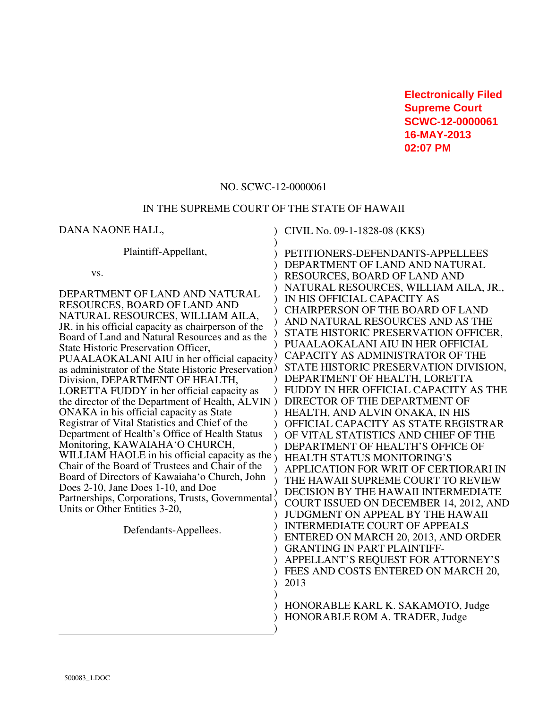**Electronically Filed Supreme Court SCWC-12-0000061 16-MAY-2013 02:07 PM**

### NO. SCWC-12-0000061

### IN THE SUPREME COURT OF THE STATE OF HAWAII

DANA NAONE HALL, Plaintiff-Appellant, vs. DEPARTMENT OF LAND AND NATURAL RESOURCES, BOARD OF LAND AND NATURAL RESOURCES, WILLIAM AILA, JR. in his official capacity as chairperson of the Board of Land and Natural Resources and as the State Historic Preservation Officer, PUAALAOKALANI AIU in her official capacity as administrator of the State Historic Preservation ) Division, DEPARTMENT OF HEALTH, LORETTA FUDDY in her official capacity as the director of the Department of Health, ALVIN ) ONAKA in his official capacity as State Registrar of Vital Statistics and Chief of the Department of Health's Office of Health Status Monitoring, KAWAIAHA'O CHURCH, WILLIAM HAOLE in his official capacity as the Chair of the Board of Trustees and Chair of the Board of Directors of Kawaiaha'o Church, John Does 2-10, Jane Does 1-10, and Doe Partnerships, Corporations, Trusts, Governmental Units or Other Entities 3-20, Defendants-Appellees. ) CIVIL No. 09-1-1828-08 (KKS) ) ) PETITIONERS-DEFENDANTS-APPELLEES ) ) ) ) ) ) ) ) ) DEPARTMENT OF HEALTH, LORETTA ) ) )  $\lambda$ ) ) ) ) ) ) ) ) ) ) )  $\lambda$  $\mathcal{L}$ ) ) HONORABLE KARL K. SAKAMOTO, Judge ) HONORABLE ROM A. TRADER, Judge ) DEPARTMENT OF LAND AND NATURAL RESOURCES, BOARD OF LAND AND NATURAL RESOURCES, WILLIAM AILA, JR., IN HIS OFFICIAL CAPACITY AS CHAIRPERSON OF THE BOARD OF LAND AND NATURAL RESOURCES AND AS THE STATE HISTORIC PRESERVATION OFFICER, PUAALAOKALANI AIU IN HER OFFICIAL CAPACITY AS ADMINISTRATOR OF THE STATE HISTORIC PRESERVATION DIVISION, FUDDY IN HER OFFICIAL CAPACITY AS THE DIRECTOR OF THE DEPARTMENT OF HEALTH, AND ALVIN ONAKA, IN HIS OFFICIAL CAPACITY AS STATE REGISTRAR OF VITAL STATISTICS AND CHIEF OF THE DEPARTMENT OF HEALTH'S OFFICE OF HEALTH STATUS MONITORING'S APPLICATION FOR WRIT OF CERTIORARI IN THE HAWAII SUPREME COURT TO REVIEW DECISION BY THE HAWAII INTERMEDIATE COURT ISSUED ON DECEMBER 14, 2012, AND JUDGMENT ON APPEAL BY THE HAWAII INTERMEDIATE COURT OF APPEALS ENTERED ON MARCH 20, 2013, AND ORDER GRANTING IN PART PLAINTIFF-APPELLANT'S REQUEST FOR ATTORNEY'S FEES AND COSTS ENTERED ON MARCH 20, 2013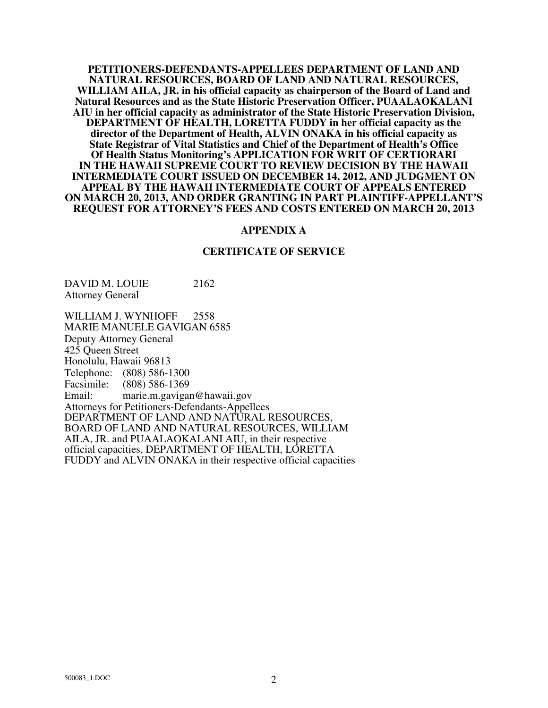**PETITIONERS-DEFENDANTS-APPELLEES DEPARTMENT OF LAND AND NATURAL RESOURCES, BOARD OF LAND AND NATURAL RESOURCES, WILLIAM AILA, JR. in his official capacity as chairperson of the Board of Land and Natural Resources and as the State Historic Preservation Officer, PUAALAOKALANI AIU in her official capacity as administrator of the State Historic Preservation Division, DEPARTMENT OF HEALTH, LORETTA FUDDY in her official capacity as the director of the Department of Health, ALVIN ONAKA in his official capacity as State Registrar of Vital Statistics and Chief of the Department of Health's Office Of Health Status Monitoring's APPLICATION FOR WRIT OF CERTIORARI IN THE HAWAII SUPREME COURT TO REVIEW DECISION BY THE HAWAII INTERMEDIATE COURT ISSUED ON DECEMBER 14, 2012, AND JUDGMENT ON APPEAL BY THE HAWAII INTERMEDIATE COURT OF APPEALS ENTERED ON MARCH 20, 2013, AND ORDER GRANTING IN PART PLAINTIFF-APPELLANT'S REQUEST FOR ATTORNEY'S FEES AND COSTS ENTERED ON MARCH 20, 2013** 

#### **APPENDIX A**

#### **CERTIFICATE OF SERVICE**

DAVID M. LOUIE 2162 Attorney General

WILLIAM J. WYNHOFF 2558 MARIE MANUELE GAVIGAN 6585 Deputy Attorney General 425 Queen Street Honolulu, Hawaii 96813 Telephone: (808) 586-1300 Facsimile: (808) 586-1369 Email: marie.m.gavigan@hawaii.gov Attorneys for Petitioners-Defendants-Appellees DEPARTMENT OF LAND AND NATURAL RESOURCES, BOARD OF LAND AND NATURAL RESOURCES, WILLIAM AILA, JR. and PUAALAOKALANI AIU, in their respective official capacities, DEPARTMENT OF HEALTH, LORETTA FUDDY and ALVIN ONAKA in their respective official capacities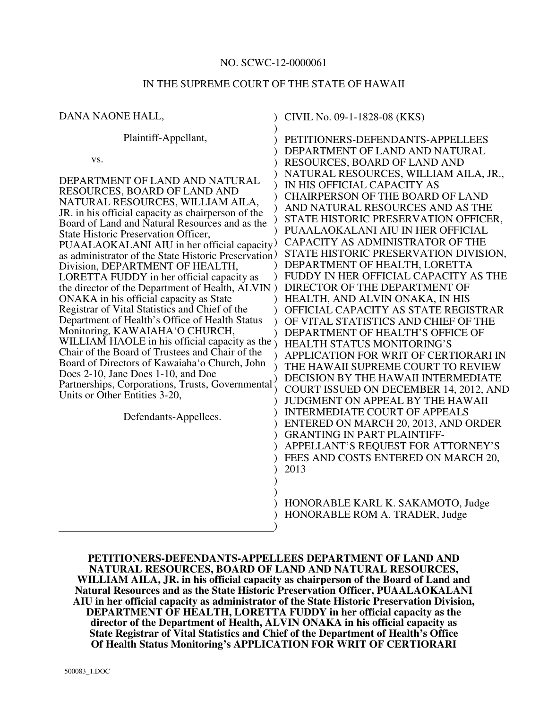## NO. SCWC-12-0000061

# IN THE SUPREME COURT OF THE STATE OF HAWAII

| DANA NAONE HALL,                                                                                                                                                                                                                                                                                                                                                                                                                                                                                                                                                                                                                                                                                                                                                                                                                                                                                                                                                                                                                | CIVIL No. 09-1-1828-08 (KKS)                                                                                                                                                                                                                                                                                                                                                                                                                                                                                                                                                                                                                                                                                                                                                                                                                                                                                                                                                                                                                                                                                                              |
|---------------------------------------------------------------------------------------------------------------------------------------------------------------------------------------------------------------------------------------------------------------------------------------------------------------------------------------------------------------------------------------------------------------------------------------------------------------------------------------------------------------------------------------------------------------------------------------------------------------------------------------------------------------------------------------------------------------------------------------------------------------------------------------------------------------------------------------------------------------------------------------------------------------------------------------------------------------------------------------------------------------------------------|-------------------------------------------------------------------------------------------------------------------------------------------------------------------------------------------------------------------------------------------------------------------------------------------------------------------------------------------------------------------------------------------------------------------------------------------------------------------------------------------------------------------------------------------------------------------------------------------------------------------------------------------------------------------------------------------------------------------------------------------------------------------------------------------------------------------------------------------------------------------------------------------------------------------------------------------------------------------------------------------------------------------------------------------------------------------------------------------------------------------------------------------|
| Plaintiff-Appellant,<br>VS.<br>DEPARTMENT OF LAND AND NATURAL<br>RESOURCES, BOARD OF LAND AND<br>NATURAL RESOURCES, WILLIAM AILA,<br>JR. in his official capacity as chairperson of the<br>Board of Land and Natural Resources and as the<br>State Historic Preservation Officer,<br>PUAALAOKALANI AIU in her official capacity.<br>as administrator of the State Historic Preservation)<br>Division, DEPARTMENT OF HEALTH,<br>LORETTA FUDDY in her official capacity as<br>the director of the Department of Health, ALVIN)<br>ONAKA in his official capacity as State<br>Registrar of Vital Statistics and Chief of the<br>Department of Health's Office of Health Status<br>Monitoring, KAWAIAHA'O CHURCH,<br>WILLIAM HAOLE in his official capacity as the $\gamma$<br>Chair of the Board of Trustees and Chair of the<br>Board of Directors of Kawaiaha'o Church, John<br>Does 2-10, Jane Does 1-10, and Doe<br>Partnerships, Corporations, Trusts, Governmental<br>Units or Other Entities 3-20,<br>Defendants-Appellees. | PETITIONERS-DEFENDANTS-APPELLEES<br>DEPARTMENT OF LAND AND NATURAL<br>RESOURCES, BOARD OF LAND AND<br>NATURAL RESOURCES, WILLIAM AILA, JR.,<br>IN HIS OFFICIAL CAPACITY AS<br><b>CHAIRPERSON OF THE BOARD OF LAND</b><br>AND NATURAL RESOURCES AND AS THE<br>STATE HISTORIC PRESERVATION OFFICER,<br>PUAALAOKALANI AIU IN HER OFFICIAL<br>CAPACITY AS ADMINISTRATOR OF THE<br>STATE HISTORIC PRESERVATION DIVISION,<br>DEPARTMENT OF HEALTH, LORETTA<br>FUDDY IN HER OFFICIAL CAPACITY AS THE<br>DIRECTOR OF THE DEPARTMENT OF<br>HEALTH, AND ALVIN ONAKA, IN HIS<br>OFFICIAL CAPACITY AS STATE REGISTRAR<br>OF VITAL STATISTICS AND CHIEF OF THE<br>DEPARTMENT OF HEALTH'S OFFICE OF<br>HEALTH STATUS MONITORING'S<br>APPLICATION FOR WRIT OF CERTIORARI IN<br>THE HAWAII SUPREME COURT TO REVIEW<br>DECISION BY THE HAWAII INTERMEDIATE<br>COURT ISSUED ON DECEMBER 14, 2012, AND<br><b>JUDGMENT ON APPEAL BY THE HAWAII</b><br><b>INTERMEDIATE COURT OF APPEALS</b><br>ENTERED ON MARCH 20, 2013, AND ORDER<br><b>GRANTING IN PART PLAINTIFF-</b><br>APPELLANT'S REQUEST FOR ATTORNEY'S<br>FEES AND COSTS ENTERED ON MARCH 20,<br>2013 |
|                                                                                                                                                                                                                                                                                                                                                                                                                                                                                                                                                                                                                                                                                                                                                                                                                                                                                                                                                                                                                                 | HONORABLE KARL K. SAKAMOTO, Judge<br>HONORABLE ROM A. TRADER, Judge                                                                                                                                                                                                                                                                                                                                                                                                                                                                                                                                                                                                                                                                                                                                                                                                                                                                                                                                                                                                                                                                       |

**PETITIONERS-DEFENDANTS-APPELLEES DEPARTMENT OF LAND AND NATURAL RESOURCES, BOARD OF LAND AND NATURAL RESOURCES, WILLIAM AILA, JR. in his official capacity as chairperson of the Board of Land and Natural Resources and as the State Historic Preservation Officer, PUAALAOKALANI AIU in her official capacity as administrator of the State Historic Preservation Division, DEPARTMENT OF HEALTH, LORETTA FUDDY in her official capacity as the director of the Department of Health, ALVIN ONAKA in his official capacity as State Registrar of Vital Statistics and Chief of the Department of Health's Office Of Health Status Monitoring's APPLICATION FOR WRIT OF CERTIORARI**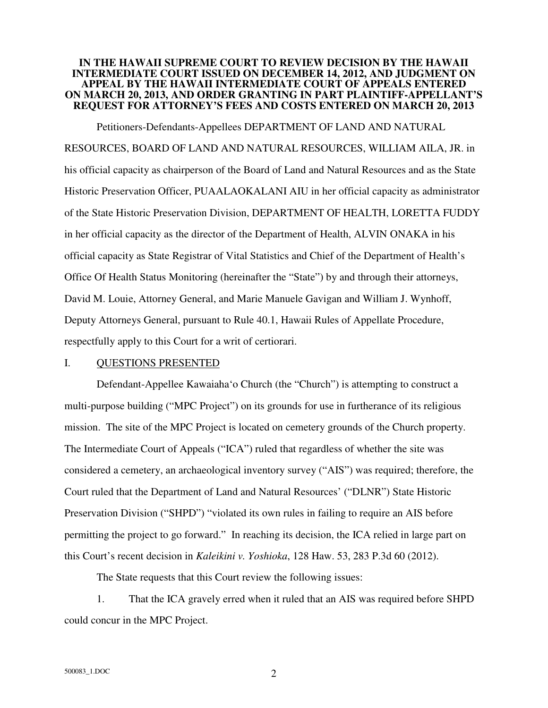## **IN THE HAWAII SUPREME COURT TO REVIEW DECISION BY THE HAWAII INTERMEDIATE COURT ISSUED ON DECEMBER 14, 2012, AND JUDGMENT ON APPEAL BY THE HAWAII INTERMEDIATE COURT OF APPEALS ENTERED ON MARCH 20, 2013, AND ORDER GRANTING IN PART PLAINTIFF-APPELLANT'S REQUEST FOR ATTORNEY'S FEES AND COSTS ENTERED ON MARCH 20, 2013**

 Petitioners-Defendants-Appellees DEPARTMENT OF LAND AND NATURAL RESOURCES, BOARD OF LAND AND NATURAL RESOURCES, WILLIAM AILA, JR. in his official capacity as chairperson of the Board of Land and Natural Resources and as the State Historic Preservation Officer, PUAALAOKALANI AIU in her official capacity as administrator of the State Historic Preservation Division, DEPARTMENT OF HEALTH, LORETTA FUDDY in her official capacity as the director of the Department of Health, ALVIN ONAKA in his official capacity as State Registrar of Vital Statistics and Chief of the Department of Health's Office Of Health Status Monitoring (hereinafter the "State") by and through their attorneys, David M. Louie, Attorney General, and Marie Manuele Gavigan and William J. Wynhoff, Deputy Attorneys General, pursuant to Rule 40.1, Hawaii Rules of Appellate Procedure, respectfully apply to this Court for a writ of certiorari.

## I. QUESTIONS PRESENTED

 Defendant-Appellee Kawaiaha'o Church (the "Church") is attempting to construct a multi-purpose building ("MPC Project") on its grounds for use in furtherance of its religious mission. The site of the MPC Project is located on cemetery grounds of the Church property. The Intermediate Court of Appeals ("ICA") ruled that regardless of whether the site was considered a cemetery, an archaeological inventory survey ("AIS") was required; therefore, the Court ruled that the Department of Land and Natural Resources' ("DLNR") State Historic Preservation Division ("SHPD") "violated its own rules in failing to require an AIS before permitting the project to go forward." In reaching its decision, the ICA relied in large part on this Court's recent decision in *Kaleikini v. Yoshioka*, 128 Haw. 53, 283 P.3d 60 (2012).

The State requests that this Court review the following issues:

 1. That the ICA gravely erred when it ruled that an AIS was required before SHPD could concur in the MPC Project.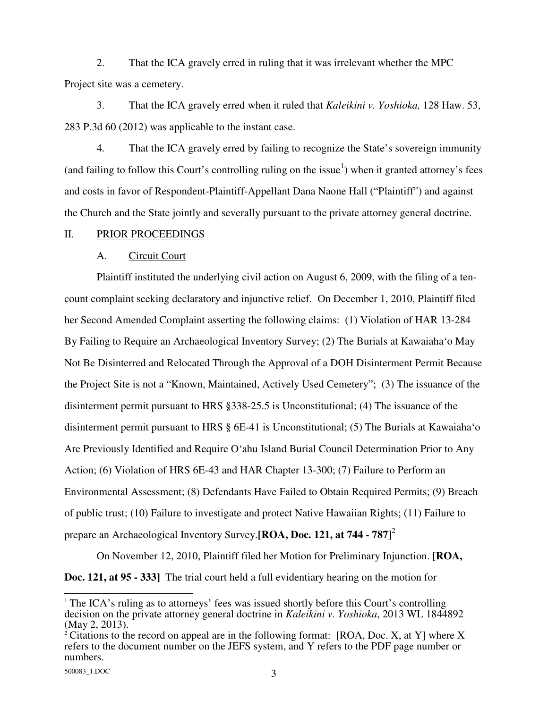2. That the ICA gravely erred in ruling that it was irrelevant whether the MPC Project site was a cemetery.

 3. That the ICA gravely erred when it ruled that *Kaleikini v. Yoshioka,* 128 Haw. 53, 283 P.3d 60 (2012) was applicable to the instant case.

 4. That the ICA gravely erred by failing to recognize the State's sovereign immunity (and failing to follow this Court's controlling ruling on the issue<sup>1</sup>) when it granted attorney's fees and costs in favor of Respondent-Plaintiff-Appellant Dana Naone Hall ("Plaintiff") and against the Church and the State jointly and severally pursuant to the private attorney general doctrine.

### II. PRIOR PROCEEDINGS

## A. Circuit Court

 Plaintiff instituted the underlying civil action on August 6, 2009, with the filing of a tencount complaint seeking declaratory and injunctive relief. On December 1, 2010, Plaintiff filed her Second Amended Complaint asserting the following claims: (1) Violation of HAR 13-284 By Failing to Require an Archaeological Inventory Survey; (2) The Burials at Kawaiaha'o May Not Be Disinterred and Relocated Through the Approval of a DOH Disinterment Permit Because the Project Site is not a "Known, Maintained, Actively Used Cemetery"; (3) The issuance of the disinterment permit pursuant to HRS §338-25.5 is Unconstitutional; (4) The issuance of the disinterment permit pursuant to HRS § 6E-41 is Unconstitutional; (5) The Burials at Kawaiaha'o Are Previously Identified and Require O'ahu Island Burial Council Determination Prior to Any Action; (6) Violation of HRS 6E-43 and HAR Chapter 13-300; (7) Failure to Perform an Environmental Assessment; (8) Defendants Have Failed to Obtain Required Permits; (9) Breach of public trust; (10) Failure to investigate and protect Native Hawaiian Rights; (11) Failure to prepare an Archaeological Inventory Survey.**[ROA, Doc. 121, at 744 - 787]**<sup>2</sup>

 On November 12, 2010, Plaintiff filed her Motion for Preliminary Injunction. **[ROA, Doc. 121, at 95 - 333]** The trial court held a full evidentiary hearing on the motion for

 $\overline{a}$ <sup>1</sup> The ICA's ruling as to attorneys' fees was issued shortly before this Court's controlling decision on the private attorney general doctrine in *Kaleikini v. Yoshioka*, 2013 WL 1844892 (May 2, 2013).

<sup>&</sup>lt;sup>2</sup> Citations to the record on appeal are in the following format: [ROA, Doc. X, at Y] where X refers to the document number on the JEFS system, and Y refers to the PDF page number or numbers.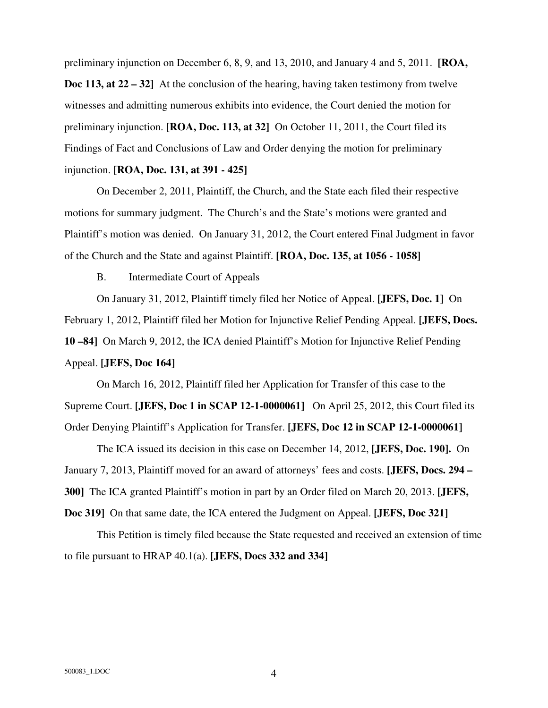preliminary injunction on December 6, 8, 9, and 13, 2010, and January 4 and 5, 2011. **[ROA, Doc 113, at 22 – 32]** At the conclusion of the hearing, having taken testimony from twelve witnesses and admitting numerous exhibits into evidence, the Court denied the motion for preliminary injunction. **[ROA, Doc. 113, at 32]** On October 11, 2011, the Court filed its Findings of Fact and Conclusions of Law and Order denying the motion for preliminary injunction. **[ROA, Doc. 131, at 391 - 425]**

 On December 2, 2011, Plaintiff, the Church, and the State each filed their respective motions for summary judgment. The Church's and the State's motions were granted and Plaintiff's motion was denied. On January 31, 2012, the Court entered Final Judgment in favor of the Church and the State and against Plaintiff. **[ROA, Doc. 135, at 1056 - 1058]**

B. Intermediate Court of Appeals

 On January 31, 2012, Plaintiff timely filed her Notice of Appeal. **[JEFS, Doc. 1]** On February 1, 2012, Plaintiff filed her Motion for Injunctive Relief Pending Appeal. **[JEFS, Docs. 10 –84]** On March 9, 2012, the ICA denied Plaintiff's Motion for Injunctive Relief Pending Appeal. **[JEFS, Doc 164]**

 On March 16, 2012, Plaintiff filed her Application for Transfer of this case to the Supreme Court. **[JEFS, Doc 1 in SCAP 12-1-0000061]** On April 25, 2012, this Court filed its Order Denying Plaintiff's Application for Transfer. **[JEFS, Doc 12 in SCAP 12-1-0000061]**

 The ICA issued its decision in this case on December 14, 2012, **[JEFS, Doc. 190].** On January 7, 2013, Plaintiff moved for an award of attorneys' fees and costs. **[JEFS, Docs. 294 – 300]** The ICA granted Plaintiff's motion in part by an Order filed on March 20, 2013. **[JEFS, Doc 319]** On that same date, the ICA entered the Judgment on Appeal. **[JEFS, Doc 321]**

 This Petition is timely filed because the State requested and received an extension of time to file pursuant to HRAP 40.1(a). **[JEFS, Docs 332 and 334]**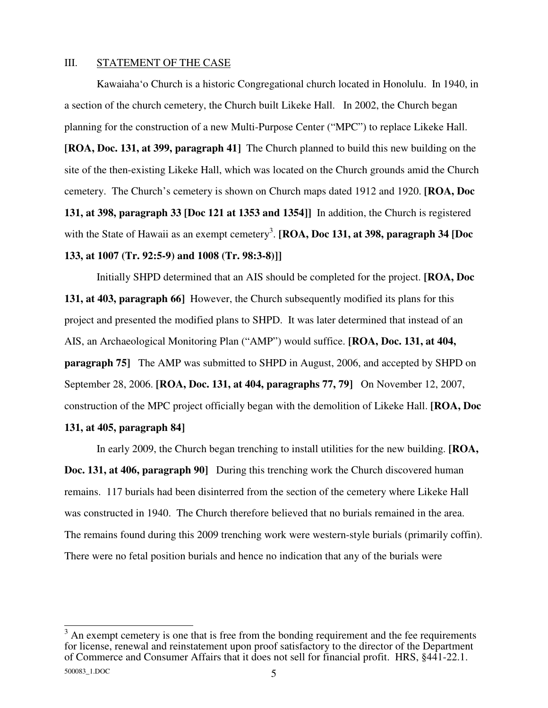## III. STATEMENT OF THE CASE

 Kawaiaha'o Church is a historic Congregational church located in Honolulu. In 1940, in a section of the church cemetery, the Church built Likeke Hall. In 2002, the Church began planning for the construction of a new Multi-Purpose Center ("MPC") to replace Likeke Hall.

**[ROA, Doc. 131, at 399, paragraph 41]** The Church planned to build this new building on the site of the then-existing Likeke Hall, which was located on the Church grounds amid the Church cemetery. The Church's cemetery is shown on Church maps dated 1912 and 1920. **[ROA, Doc 131, at 398, paragraph 33 [Doc 121 at 1353 and 1354]]** In addition, the Church is registered with the State of Hawaii as an exempt cemetery<sup>3</sup>. [ROA, Doc 131, at 398, paragraph 34 [Doc **133, at 1007 (Tr. 92:5-9) and 1008 (Tr. 98:3-8)]]**

Initially SHPD determined that an AIS should be completed for the project. **[ROA, Doc 131, at 403, paragraph 66]** However, the Church subsequently modified its plans for this project and presented the modified plans to SHPD. It was later determined that instead of an AIS, an Archaeological Monitoring Plan ("AMP") would suffice. **[ROA, Doc. 131, at 404, paragraph 75]** The AMP was submitted to SHPD in August, 2006, and accepted by SHPD on September 28, 2006. **[ROA, Doc. 131, at 404, paragraphs 77, 79]** On November 12, 2007, construction of the MPC project officially began with the demolition of Likeke Hall. **[ROA, Doc 131, at 405, paragraph 84]** 

 In early 2009, the Church began trenching to install utilities for the new building. **[ROA, Doc. 131, at 406, paragraph 90]** During this trenching work the Church discovered human remains. 117 burials had been disinterred from the section of the cemetery where Likeke Hall was constructed in 1940. The Church therefore believed that no burials remained in the area. The remains found during this 2009 trenching work were western-style burials (primarily coffin). There were no fetal position burials and hence no indication that any of the burials were

<sup>&</sup>lt;sup>3</sup> An exempt cemetery is one that is free from the bonding requirement and the fee requirements for license, renewal and reinstatement upon proof satisfactory to the director of the Department of Commerce and Consumer Affairs that it does not sell for financial profit. HRS, §441-22.1.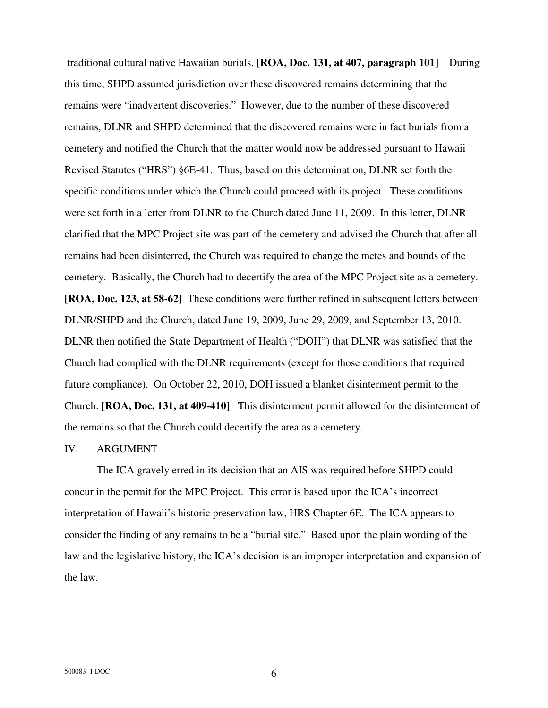traditional cultural native Hawaiian burials. **[ROA, Doc. 131, at 407, paragraph 101]** During this time, SHPD assumed jurisdiction over these discovered remains determining that the remains were "inadvertent discoveries." However, due to the number of these discovered remains, DLNR and SHPD determined that the discovered remains were in fact burials from a cemetery and notified the Church that the matter would now be addressed pursuant to Hawaii Revised Statutes ("HRS") §6E-41. Thus, based on this determination, DLNR set forth the specific conditions under which the Church could proceed with its project. These conditions were set forth in a letter from DLNR to the Church dated June 11, 2009. In this letter, DLNR clarified that the MPC Project site was part of the cemetery and advised the Church that after all remains had been disinterred, the Church was required to change the metes and bounds of the cemetery. Basically, the Church had to decertify the area of the MPC Project site as a cemetery. **[ROA, Doc. 123, at 58-62]** These conditions were further refined in subsequent letters between DLNR/SHPD and the Church, dated June 19, 2009, June 29, 2009, and September 13, 2010. DLNR then notified the State Department of Health ("DOH") that DLNR was satisfied that the Church had complied with the DLNR requirements (except for those conditions that required future compliance). On October 22, 2010, DOH issued a blanket disinterment permit to the Church. **[ROA, Doc. 131, at 409-410]** This disinterment permit allowed for the disinterment of the remains so that the Church could decertify the area as a cemetery.

## IV. ARGUMENT

 The ICA gravely erred in its decision that an AIS was required before SHPD could concur in the permit for the MPC Project. This error is based upon the ICA's incorrect interpretation of Hawaii's historic preservation law, HRS Chapter 6E. The ICA appears to consider the finding of any remains to be a "burial site." Based upon the plain wording of the law and the legislative history, the ICA's decision is an improper interpretation and expansion of the law.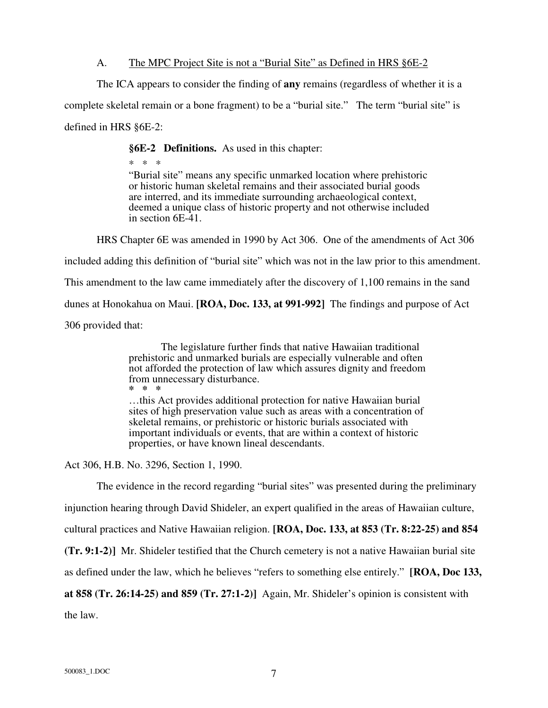# A. The MPC Project Site is not a "Burial Site" as Defined in HRS §6E-2

The ICA appears to consider the finding of **any** remains (regardless of whether it is a

complete skeletal remain or a bone fragment) to be a "burial site." The term "burial site" is

defined in HRS §6E-2:

**§6E-2 Definitions.** As used in this chapter:

\* \* \* "Burial site" means any specific unmarked location where prehistoric or historic human skeletal remains and their associated burial goods are interred, and its immediate surrounding archaeological context, deemed a unique class of historic property and not otherwise included in section 6E-41.

HRS Chapter 6E was amended in 1990 by Act 306. One of the amendments of Act 306

included adding this definition of "burial site" which was not in the law prior to this amendment.

This amendment to the law came immediately after the discovery of 1,100 remains in the sand

dunes at Honokahua on Maui. **[ROA, Doc. 133, at 991-992]** The findings and purpose of Act

306 provided that:

 The legislature further finds that native Hawaiian traditional prehistoric and unmarked burials are especially vulnerable and often not afforded the protection of law which assures dignity and freedom from unnecessary disturbance. **\* \* \***

…this Act provides additional protection for native Hawaiian burial sites of high preservation value such as areas with a concentration of skeletal remains, or prehistoric or historic burials associated with important individuals or events, that are within a context of historic properties, or have known lineal descendants.

Act 306, H.B. No. 3296, Section 1, 1990.

The evidence in the record regarding "burial sites" was presented during the preliminary

injunction hearing through David Shideler, an expert qualified in the areas of Hawaiian culture,

cultural practices and Native Hawaiian religion. **[ROA, Doc. 133, at 853 (Tr. 8:22-25) and 854** 

**(Tr. 9:1-2)]** Mr. Shideler testified that the Church cemetery is not a native Hawaiian burial site

as defined under the law, which he believes "refers to something else entirely." **[ROA, Doc 133,** 

**at 858 (Tr. 26:14-25) and 859 (Tr. 27:1-2)]** Again, Mr. Shideler's opinion is consistent with

the law.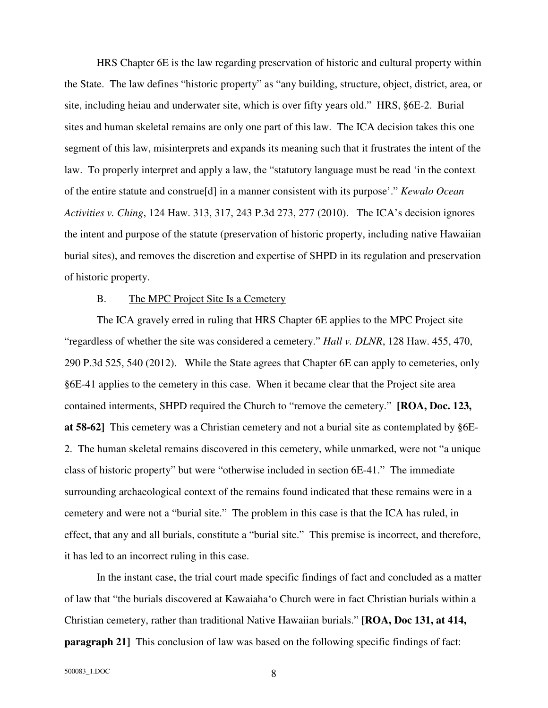HRS Chapter 6E is the law regarding preservation of historic and cultural property within the State. The law defines "historic property" as "any building, structure, object, district, area, or site, including heiau and underwater site, which is over fifty years old." HRS, §6E-2. Burial sites and human skeletal remains are only one part of this law. The ICA decision takes this one segment of this law, misinterprets and expands its meaning such that it frustrates the intent of the law. To properly interpret and apply a law, the "statutory language must be read 'in the context of the entire statute and construe[d] in a manner consistent with its purpose'." *Kewalo Ocean Activities v. Ching*, 124 Haw. 313, 317, 243 P.3d 273, 277 (2010). The ICA's decision ignores the intent and purpose of the statute (preservation of historic property, including native Hawaiian burial sites), and removes the discretion and expertise of SHPD in its regulation and preservation of historic property.

#### B. The MPC Project Site Is a Cemetery

 The ICA gravely erred in ruling that HRS Chapter 6E applies to the MPC Project site "regardless of whether the site was considered a cemetery." *Hall v. DLNR*, 128 Haw. 455, 470, 290 P.3d 525, 540 (2012). While the State agrees that Chapter 6E can apply to cemeteries, only §6E-41 applies to the cemetery in this case. When it became clear that the Project site area contained interments, SHPD required the Church to "remove the cemetery." **[ROA, Doc. 123, at 58-62]** This cemetery was a Christian cemetery and not a burial site as contemplated by §6E-2. The human skeletal remains discovered in this cemetery, while unmarked, were not "a unique class of historic property" but were "otherwise included in section 6E-41." The immediate surrounding archaeological context of the remains found indicated that these remains were in a cemetery and were not a "burial site." The problem in this case is that the ICA has ruled, in effect, that any and all burials, constitute a "burial site." This premise is incorrect, and therefore, it has led to an incorrect ruling in this case.

 In the instant case, the trial court made specific findings of fact and concluded as a matter of law that "the burials discovered at Kawaiaha'o Church were in fact Christian burials within a Christian cemetery, rather than traditional Native Hawaiian burials." **[ROA, Doc 131, at 414, paragraph 21]** This conclusion of law was based on the following specific findings of fact: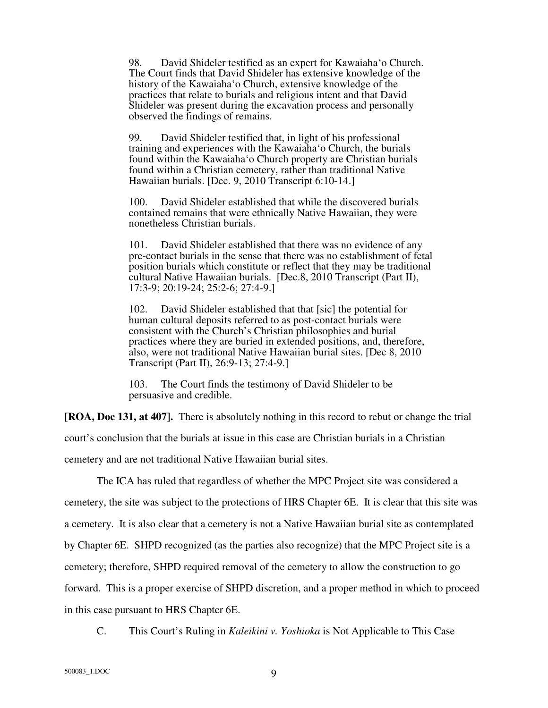98. David Shideler testified as an expert for Kawaiaha'o Church. The Court finds that David Shideler has extensive knowledge of the history of the Kawaiaha'o Church, extensive knowledge of the practices that relate to burials and religious intent and that David Shideler was present during the excavation process and personally observed the findings of remains.

99. David Shideler testified that, in light of his professional training and experiences with the Kawaiaha'o Church, the burials found within the Kawaiaha'o Church property are Christian burials found within a Christian cemetery, rather than traditional Native Hawaiian burials. [Dec. 9, 2010 Transcript 6:10-14.]

100. David Shideler established that while the discovered burials contained remains that were ethnically Native Hawaiian, they were nonetheless Christian burials.

101. David Shideler established that there was no evidence of any pre-contact burials in the sense that there was no establishment of fetal position burials which constitute or reflect that they may be traditional cultural Native Hawaiian burials. [Dec.8, 2010 Transcript (Part II), 17:3-9; 20:19-24; 25:2-6; 27:4-9.]

102. David Shideler established that that [sic] the potential for human cultural deposits referred to as post-contact burials were consistent with the Church's Christian philosophies and burial practices where they are buried in extended positions, and, therefore, also, were not traditional Native Hawaiian burial sites. [Dec 8, 2010 Transcript (Part II), 26:9-13; 27:4-9.]

103. The Court finds the testimony of David Shideler to be persuasive and credible.

**[ROA, Doc 131, at 407].** There is absolutely nothing in this record to rebut or change the trial court's conclusion that the burials at issue in this case are Christian burials in a Christian cemetery and are not traditional Native Hawaiian burial sites.

 The ICA has ruled that regardless of whether the MPC Project site was considered a cemetery, the site was subject to the protections of HRS Chapter 6E. It is clear that this site was a cemetery. It is also clear that a cemetery is not a Native Hawaiian burial site as contemplated by Chapter 6E. SHPD recognized (as the parties also recognize) that the MPC Project site is a cemetery; therefore, SHPD required removal of the cemetery to allow the construction to go forward. This is a proper exercise of SHPD discretion, and a proper method in which to proceed in this case pursuant to HRS Chapter 6E.

C. This Court's Ruling in *Kaleikini v. Yoshioka* is Not Applicable to This Case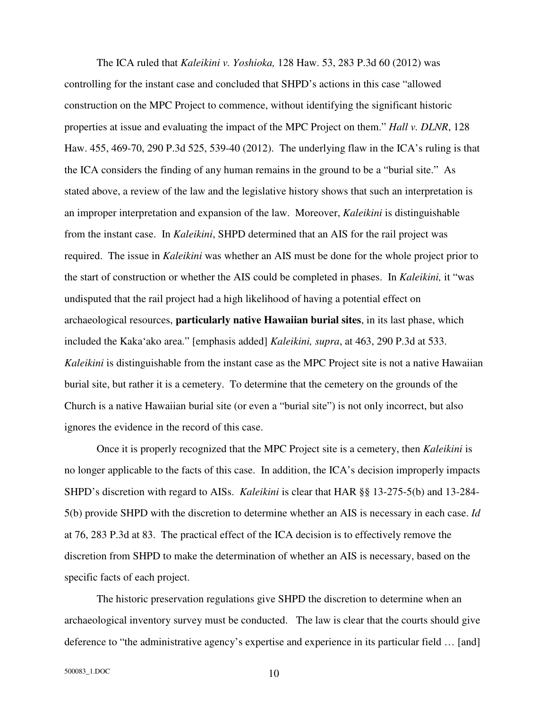The ICA ruled that *Kaleikini v. Yoshioka,* 128 Haw. 53, 283 P.3d 60 (2012) was controlling for the instant case and concluded that SHPD's actions in this case "allowed construction on the MPC Project to commence, without identifying the significant historic properties at issue and evaluating the impact of the MPC Project on them." *Hall v. DLNR*, 128 Haw. 455, 469-70, 290 P.3d 525, 539-40 (2012). The underlying flaw in the ICA's ruling is that the ICA considers the finding of any human remains in the ground to be a "burial site." As stated above, a review of the law and the legislative history shows that such an interpretation is an improper interpretation and expansion of the law. Moreover, *Kaleikini* is distinguishable from the instant case. In *Kaleikini*, SHPD determined that an AIS for the rail project was required. The issue in *Kaleikini* was whether an AIS must be done for the whole project prior to the start of construction or whether the AIS could be completed in phases. In *Kaleikini,* it "was undisputed that the rail project had a high likelihood of having a potential effect on archaeological resources, **particularly native Hawaiian burial sites**, in its last phase, which included the Kaka'ako area." [emphasis added] *Kaleikini, supra*, at 463, 290 P.3d at 533. *Kaleikini* is distinguishable from the instant case as the MPC Project site is not a native Hawaiian burial site, but rather it is a cemetery. To determine that the cemetery on the grounds of the Church is a native Hawaiian burial site (or even a "burial site") is not only incorrect, but also ignores the evidence in the record of this case.

 Once it is properly recognized that the MPC Project site is a cemetery, then *Kaleikini* is no longer applicable to the facts of this case. In addition, the ICA's decision improperly impacts SHPD's discretion with regard to AISs. *Kaleikini* is clear that HAR §§ 13-275-5(b) and 13-284- 5(b) provide SHPD with the discretion to determine whether an AIS is necessary in each case. *Id* at 76, 283 P.3d at 83. The practical effect of the ICA decision is to effectively remove the discretion from SHPD to make the determination of whether an AIS is necessary, based on the specific facts of each project.

 The historic preservation regulations give SHPD the discretion to determine when an archaeological inventory survey must be conducted. The law is clear that the courts should give deference to "the administrative agency's expertise and experience in its particular field … [and]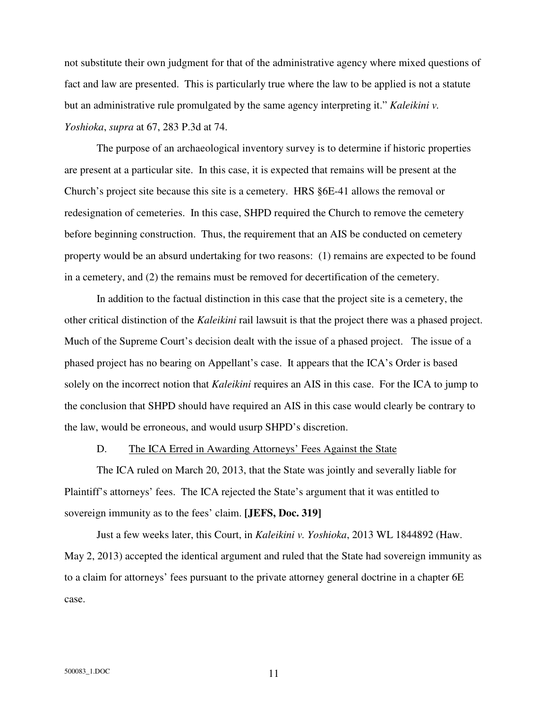not substitute their own judgment for that of the administrative agency where mixed questions of fact and law are presented. This is particularly true where the law to be applied is not a statute but an administrative rule promulgated by the same agency interpreting it." *Kaleikini v. Yoshioka*, *supra* at 67, 283 P.3d at 74.

 The purpose of an archaeological inventory survey is to determine if historic properties are present at a particular site. In this case, it is expected that remains will be present at the Church's project site because this site is a cemetery. HRS §6E-41 allows the removal or redesignation of cemeteries. In this case, SHPD required the Church to remove the cemetery before beginning construction. Thus, the requirement that an AIS be conducted on cemetery property would be an absurd undertaking for two reasons: (1) remains are expected to be found in a cemetery, and (2) the remains must be removed for decertification of the cemetery.

 In addition to the factual distinction in this case that the project site is a cemetery, the other critical distinction of the *Kaleikini* rail lawsuit is that the project there was a phased project. Much of the Supreme Court's decision dealt with the issue of a phased project. The issue of a phased project has no bearing on Appellant's case. It appears that the ICA's Order is based solely on the incorrect notion that *Kaleikini* requires an AIS in this case. For the ICA to jump to the conclusion that SHPD should have required an AIS in this case would clearly be contrary to the law, would be erroneous, and would usurp SHPD's discretion.

## D. The ICA Erred in Awarding Attorneys' Fees Against the State

 The ICA ruled on March 20, 2013, that the State was jointly and severally liable for Plaintiff's attorneys' fees. The ICA rejected the State's argument that it was entitled to sovereign immunity as to the fees' claim. **[JEFS, Doc. 319]**

 Just a few weeks later, this Court, in *Kaleikini v. Yoshioka*, 2013 WL 1844892 (Haw. May 2, 2013) accepted the identical argument and ruled that the State had sovereign immunity as to a claim for attorneys' fees pursuant to the private attorney general doctrine in a chapter 6E case.